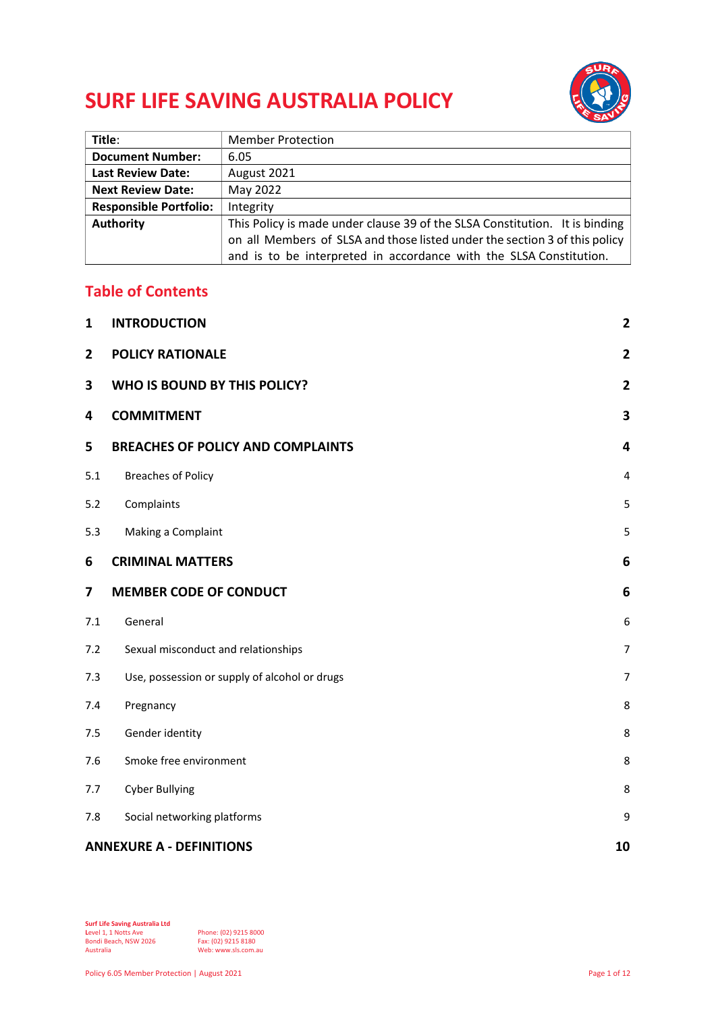# **SURF LIFE SAVING AUSTRALIA POLICY**



| Title:                        | <b>Member Protection</b>                                                    |
|-------------------------------|-----------------------------------------------------------------------------|
| <b>Document Number:</b>       | 6.05                                                                        |
| <b>Last Review Date:</b>      | August 2021                                                                 |
| <b>Next Review Date:</b>      | May 2022                                                                    |
| <b>Responsible Portfolio:</b> | Integrity                                                                   |
| <b>Authority</b>              | This Policy is made under clause 39 of the SLSA Constitution. It is binding |
|                               | on all Members of SLSA and those listed under the section 3 of this policy  |
|                               | and is to be interpreted in accordance with the SLSA Constitution.          |

## **Table of Contents**

| $\mathbf{1}$   | <b>INTRODUCTION</b>                           | $\mathbf{2}$            |
|----------------|-----------------------------------------------|-------------------------|
| $\overline{2}$ | <b>POLICY RATIONALE</b>                       | $\overline{2}$          |
| 3              | WHO IS BOUND BY THIS POLICY?                  | $\overline{2}$          |
| 4              | <b>COMMITMENT</b>                             | 3                       |
| 5              | <b>BREACHES OF POLICY AND COMPLAINTS</b>      | $\overline{\mathbf{4}}$ |
| 5.1            | <b>Breaches of Policy</b>                     | $\overline{4}$          |
| 5.2            | Complaints                                    | 5                       |
| 5.3            | Making a Complaint                            | 5                       |
| 6              | <b>CRIMINAL MATTERS</b>                       | 6                       |
| 7              | <b>MEMBER CODE OF CONDUCT</b>                 | 6                       |
| 7.1            | General                                       | 6                       |
| 7.2            | Sexual misconduct and relationships           | $\overline{7}$          |
| 7.3            | Use, possession or supply of alcohol or drugs | $\overline{7}$          |
| 7.4            | Pregnancy                                     | 8                       |
| 7.5            | Gender identity                               | 8                       |
| 7.6            | Smoke free environment                        | 8                       |
| 7.7            | <b>Cyber Bullying</b>                         | 8                       |
| 7.8            | Social networking platforms                   | 9                       |
|                | <b>ANNEXURE A - DEFINITIONS</b><br>10         |                         |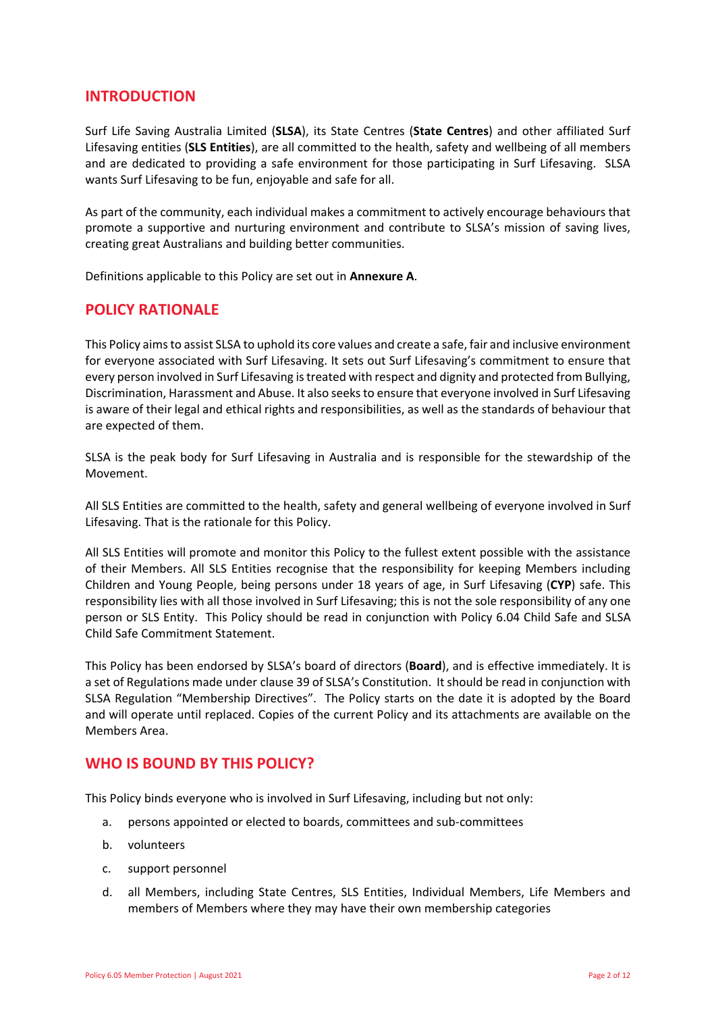## <span id="page-1-0"></span>**INTRODUCTION**

Surf Life Saving Australia Limited (**SLSA**), its State Centres (**State Centres**) and other affiliated Surf Lifesaving entities (**SLS Entities**), are all committed to the health, safety and wellbeing of all members and are dedicated to providing a safe environment for those participating in Surf Lifesaving. SLSA wants Surf Lifesaving to be fun, enjoyable and safe for all.

As part of the community, each individual makes a commitment to actively encourage behaviours that promote a supportive and nurturing environment and contribute to SLSA's mission of saving lives, creating great Australians and building better communities.

<span id="page-1-1"></span>Definitions applicable to this Policy are set out in **[Annexure A](#page-9-1)**.

## **POLICY RATIONALE**

This Policy aims to assist SLSA to uphold its core values and create a safe, fair and inclusive environment for everyone associated with Surf Lifesaving. It sets out Surf Lifesaving's commitment to ensure that every person involved in Surf Lifesaving is treated with respect and dignity and protected from Bullying, Discrimination, Harassment and Abuse. It also seeks to ensure that everyone involved in Surf Lifesaving is aware of their legal and ethical rights and responsibilities, as well as the standards of behaviour that are expected of them.

SLSA is the peak body for Surf Lifesaving in Australia and is responsible for the stewardship of the Movement.

All SLS Entities are committed to the health, safety and general wellbeing of everyone involved in Surf Lifesaving. That is the rationale for this Policy.

All SLS Entities will promote and monitor this Policy to the fullest extent possible with the assistance of their Members. All SLS Entities recognise that the responsibility for keeping Members including Children and Young People, being persons under 18 years of age, in Surf Lifesaving (**CYP**) safe. This responsibility lies with all those involved in Surf Lifesaving; this is not the sole responsibility of any one person or SLS Entity. This Policy should be read in conjunction with Policy 6.04 Child Safe and SLSA Child Safe Commitment Statement.

This Policy has been endorsed by SLSA's board of directors (**Board**), and is effective immediately. It is a set of Regulations made under clause 39 of SLSA's Constitution. It should be read in conjunction with SLSA Regulation "Membership Directives". The Policy starts on the date it is adopted by the Board and will operate until replaced. Copies of the current Policy and its attachments are available on the [Members Area.](http://members.sls.com.au/)

## <span id="page-1-2"></span>**WHO IS BOUND BY THIS POLICY?**

This Policy binds everyone who is involved in Surf Lifesaving, including but not only:

- a. persons appointed or elected to boards, committees and sub-committees
- b. volunteers
- c. support personnel
- d. all Members, including State Centres, SLS Entities, Individual Members, Life Members and members of Members where they may have their own membership categories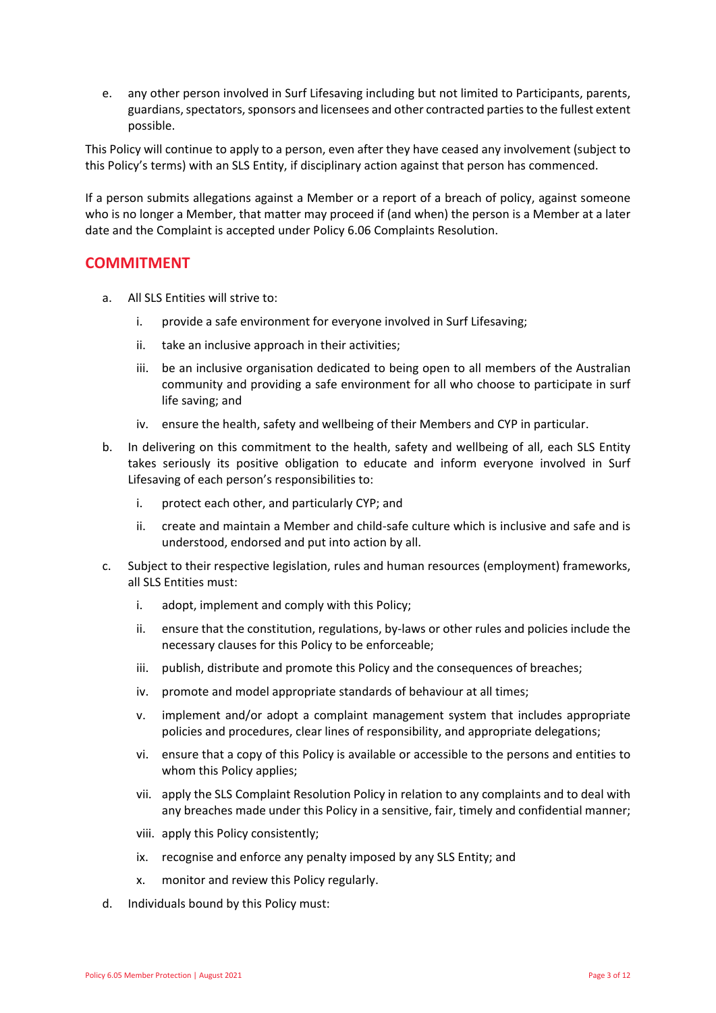e. any other person involved in Surf Lifesaving including but not limited to Participants, parents, guardians, spectators, sponsors and licensees and other contracted parties to the fullest extent possible.

This Policy will continue to apply to a person, even after they have ceased any involvement (subject to this Policy's terms) with an SLS Entity, if disciplinary action against that person has commenced.

If a person submits allegations against a Member or a report of a breach of policy, against someone who is no longer a Member, that matter may proceed if (and when) the person is a Member at a later date and the Complaint is accepted under Policy 6.06 Complaints Resolution.

## <span id="page-2-0"></span>**COMMITMENT**

- a. All SLS Entities will strive to:
	- i. provide a safe environment for everyone involved in Surf Lifesaving;
	- ii. take an inclusive approach in their activities;
	- iii. be an inclusive organisation dedicated to being open to all members of the Australian community and providing a safe environment for all who choose to participate in surf life saving; and
	- iv. ensure the health, safety and wellbeing of their Members and CYP in particular.
- b. In delivering on this commitment to the health, safety and wellbeing of all, each SLS Entity takes seriously its positive obligation to educate and inform everyone involved in Surf Lifesaving of each person's responsibilities to:
	- i. protect each other, and particularly CYP; and
	- ii. create and maintain a Member and child-safe culture which is inclusive and safe and is understood, endorsed and put into action by all.
- c. Subject to their respective legislation, rules and human resources (employment) frameworks, all SLS Entities must:
	- i. adopt, implement and comply with this Policy;
	- ii. ensure that the constitution, regulations, by-laws or other rules and policies include the necessary clauses for this Policy to be enforceable;
	- iii. publish, distribute and promote this Policy and the consequences of breaches;
	- iv. promote and model appropriate standards of behaviour at all times;
	- v. implement and/or adopt a complaint management system that includes appropriate policies and procedures, clear lines of responsibility, and appropriate delegations;
	- vi. ensure that a copy of this Policy is available or accessible to the persons and entities to whom this Policy applies;
	- vii. apply the SLS Complaint Resolution Policy in relation to any complaints and to deal with any breaches made under this Policy in a sensitive, fair, timely and confidential manner;
	- viii. apply this Policy consistently;
	- ix. recognise and enforce any penalty imposed by any SLS Entity; and
	- x. monitor and review this Policy regularly.
- d. Individuals bound by this Policy must: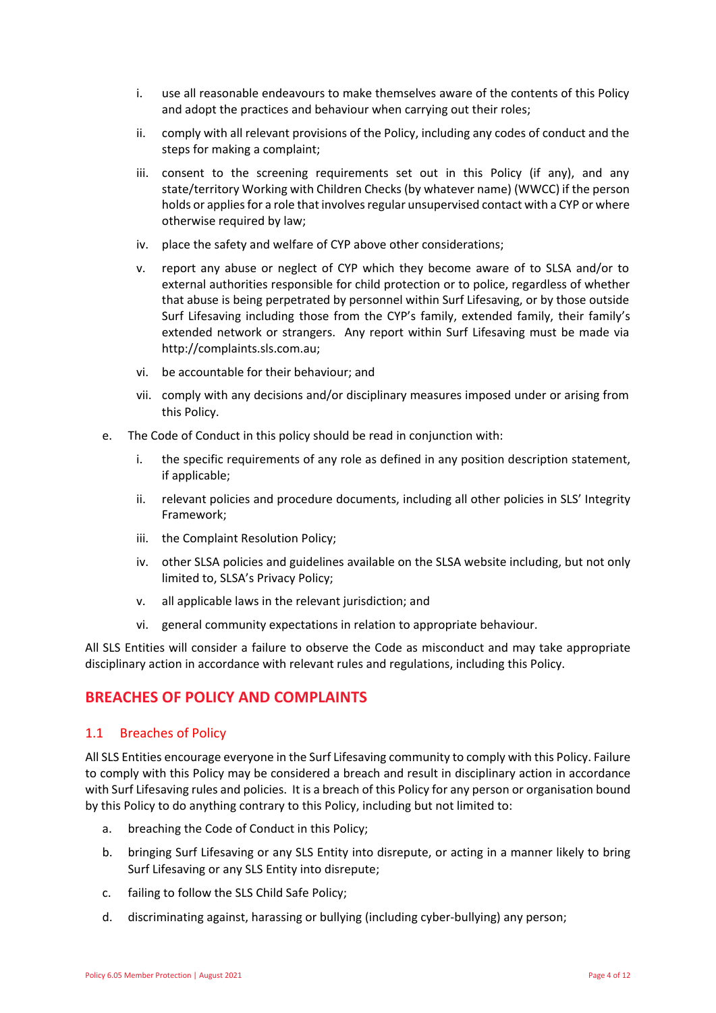- i. use all reasonable endeavours to make themselves aware of the contents of this Policy and adopt the practices and behaviour when carrying out their roles;
- ii. comply with all relevant provisions of the Policy, including any codes of conduct and the steps for making a complaint;
- iii. consent to the screening requirements set out in this Policy (if any), and any state/territory Working with Children Checks (by whatever name) (WWCC) if the person holds or applies for a role that involves regular unsupervised contact with a CYP or where otherwise required by law;
- iv. place the safety and welfare of CYP above other considerations;
- v. report any abuse or neglect of CYP which they become aware of to SLSA and/or to external authorities responsible for child protection or to police, regardless of whether that abuse is being perpetrated by personnel within Surf Lifesaving, or by those outside Surf Lifesaving including those from the CYP's family, extended family, their family's extended network or strangers. Any report within Surf Lifesaving must be made via [http://complaints](http://complaints.sls.com.au).sls.com.au;
- vi. be accountable for their behaviour; and
- vii. comply with any decisions and/or disciplinary measures imposed under or arising from this Policy.
- e. The Code of Conduct in this policy should be read in conjunction with:
	- i. the specific requirements of any role as defined in any position description statement, if applicable;
	- ii. relevant policies and procedure documents, including all other policies in SLS' Integrity Framework;
	- iii. the Complaint Resolution Policy;
	- iv. other SLSA policies and guidelines available on the SLSA website including, but not only limited to, SLSA's Privacy Policy;
	- v. all applicable laws in the relevant jurisdiction; and
	- vi. general community expectations in relation to appropriate behaviour.

All SLS Entities will consider a failure to observe the Code as misconduct and may take appropriate disciplinary action in accordance with relevant rules and regulations, including this Policy.

## <span id="page-3-0"></span>**BREACHES OF POLICY AND COMPLAINTS**

## <span id="page-3-1"></span>1.1 Breaches of Policy

All SLS Entities encourage everyone in the Surf Lifesaving community to comply with this Policy. Failure to comply with this Policy may be considered a breach and result in disciplinary action in accordance with Surf Lifesaving rules and policies. It is a breach of this Policy for any person or organisation bound by this Policy to do anything contrary to this Policy, including but not limited to:

- a. breaching the Code of Conduct in this Policy;
- b. bringing Surf Lifesaving or any SLS Entity into disrepute, or acting in a manner likely to bring Surf Lifesaving or any SLS Entity into disrepute;
- c. failing to follow the SLS Child Safe Policy;
- d. discriminating against, harassing or bullying (including cyber-bullying) any person;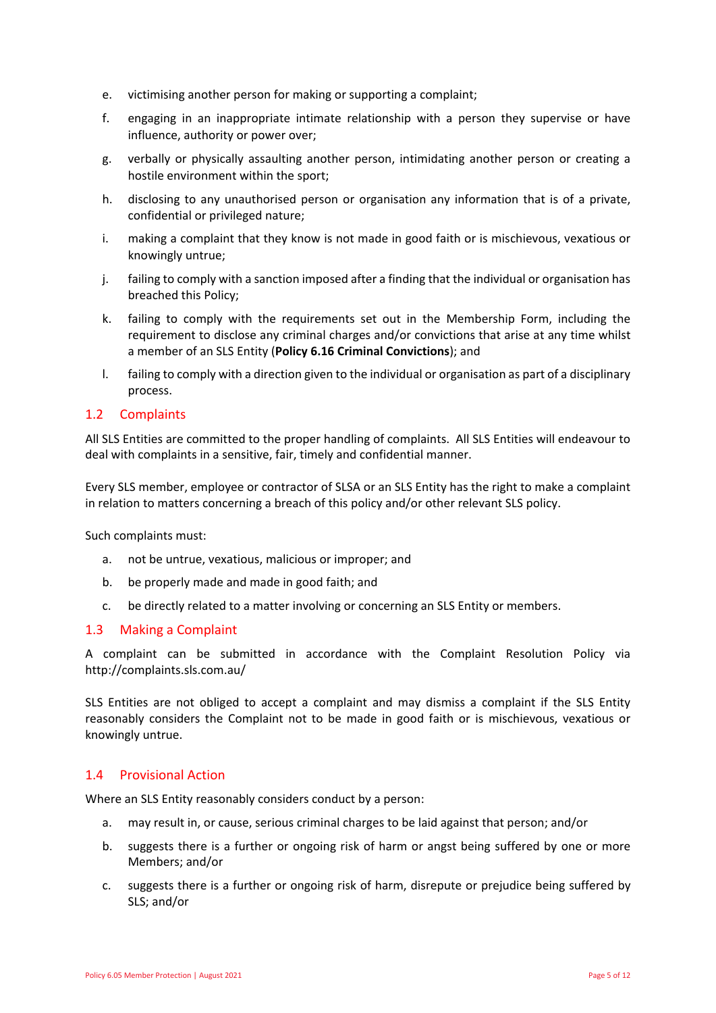- e. victimising another person for making or supporting a complaint;
- f. engaging in an inappropriate intimate relationship with a person they supervise or have influence, authority or power over;
- g. verbally or physically assaulting another person, intimidating another person or creating a hostile environment within the sport;
- h. disclosing to any unauthorised person or organisation any information that is of a private, confidential or privileged nature;
- i. making a complaint that they know is not made in good faith or is mischievous, vexatious or knowingly untrue;
- j. failing to comply with a sanction imposed after a finding that the individual or organisation has breached this Policy;
- k. failing to comply with the requirements set out in the Membership Form, including the requirement to disclose any criminal charges and/or convictions that arise at any time whilst a member of an SLS Entity (**Policy 6.16 Criminal Convictions**); and
- l. failing to comply with a direction given to the individual or organisation as part of a disciplinary process.

#### <span id="page-4-0"></span>1.2 Complaints

All SLS Entities are committed to the proper handling of complaints. All SLS Entities will endeavour to deal with complaints in a sensitive, fair, timely and confidential manner.

Every SLS member, employee or contractor of SLSA or an SLS Entity has the right to make a complaint in relation to matters concerning a breach of this policy and/or other relevant SLS policy.

Such complaints must:

- a. not be untrue, vexatious, malicious or improper; and
- b. be properly made and made in good faith; and
- c. be directly related to a matter involving or concerning an SLS Entity or members.

#### <span id="page-4-1"></span>1.3 Making a Complaint

A complaint can be submitted in accordance with the Complaint Resolution Policy via <http://complaints.sls.com.au/>

SLS Entities are not obliged to accept a complaint and may dismiss a complaint if the SLS Entity reasonably considers the Complaint not to be made in good faith or is mischievous, vexatious or knowingly untrue.

#### 1.4 Provisional Action

Where an SLS Entity reasonably considers conduct by a person:

- a. may result in, or cause, serious criminal charges to be laid against that person; and/or
- b. suggests there is a further or ongoing risk of harm or angst being suffered by one or more Members; and/or
- c. suggests there is a further or ongoing risk of harm, disrepute or prejudice being suffered by SLS; and/or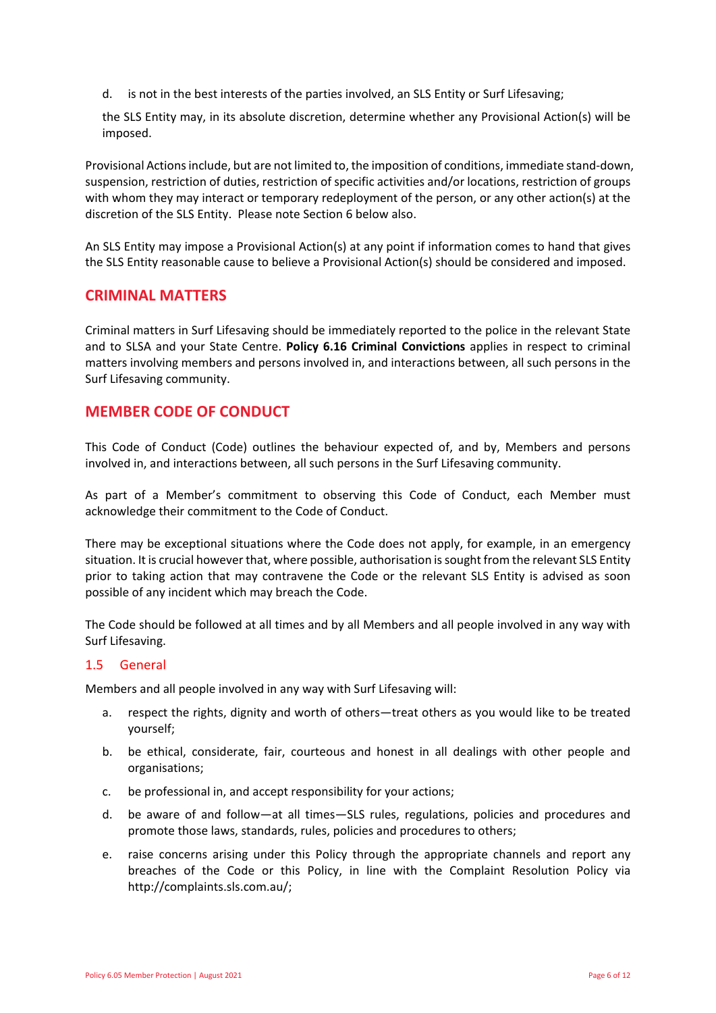d. is not in the best interests of the parties involved, an SLS Entity or Surf Lifesaving;

the SLS Entity may, in its absolute discretion, determine whether any Provisional Action(s) will be imposed.

Provisional Actions include, but are not limited to, the imposition of conditions, immediate stand-down, suspension, restriction of duties, restriction of specific activities and/or locations, restriction of groups with whom they may interact or temporary redeployment of the person, or any other action(s) at the discretion of the SLS Entity. Please note Section 6 below also.

An SLS Entity may impose a Provisional Action(s) at any point if information comes to hand that gives the SLS Entity reasonable cause to believe a Provisional Action(s) should be considered and imposed.

## <span id="page-5-0"></span>**CRIMINAL MATTERS**

Criminal matters in Surf Lifesaving should be immediately reported to the police in the relevant State and to SLSA and your State Centre. **Policy 6.16 Criminal Convictions** applies in respect to criminal matters involving members and persons involved in, and interactions between, all such persons in the Surf Lifesaving community.

## <span id="page-5-1"></span>**MEMBER CODE OF CONDUCT**

This Code of Conduct (Code) outlines the behaviour expected of, and by, Members and persons involved in, and interactions between, all such persons in the Surf Lifesaving community.

As part of a Member's commitment to observing this Code of Conduct, each Member must acknowledge their commitment to the Code of Conduct.

There may be exceptional situations where the Code does not apply, for example, in an emergency situation. It is crucial however that, where possible, authorisation is sought from the relevant SLS Entity prior to taking action that may contravene the Code or the relevant SLS Entity is advised as soon possible of any incident which may breach the Code.

The Code should be followed at all times and by all Members and all people involved in any way with Surf Lifesaving.

#### <span id="page-5-2"></span>1.5 General

Members and all people involved in any way with Surf Lifesaving will:

- a. respect the rights, dignity and worth of others—treat others as you would like to be treated yourself;
- b. be ethical, considerate, fair, courteous and honest in all dealings with other people and organisations;
- c. be professional in, and accept responsibility for your actions;
- d. be aware of and follow—at all times—SLS rules, regulations, policies and procedures and promote those laws, standards, rules, policies and procedures to others;
- e. raise concerns arising under this Policy through the appropriate channels and report any breaches of the Code or this Policy, in line with the Complaint Resolution Policy via [http://complaints.sls.com.au/;](http://complaints.sls.com.au/)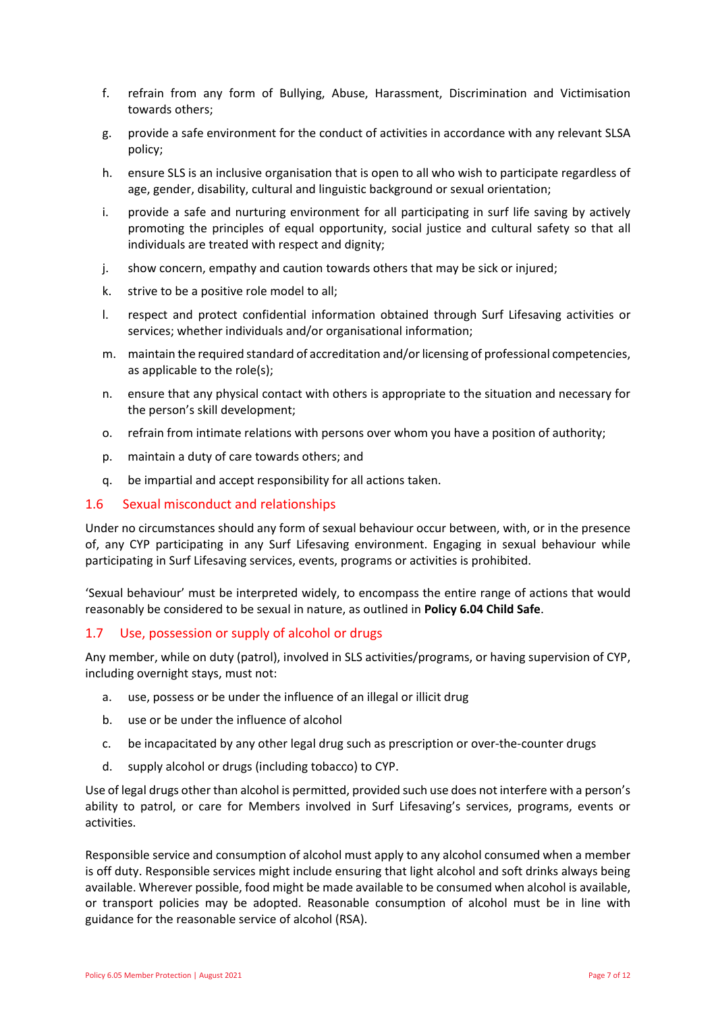- f. refrain from any form of Bullying, Abuse, Harassment, Discrimination and Victimisation towards others;
- g. provide a safe environment for the conduct of activities in accordance with any relevant SLSA policy;
- h. ensure SLS is an inclusive organisation that is open to all who wish to participate regardless of age, gender, disability, cultural and linguistic background or sexual orientation;
- i. provide a safe and nurturing environment for all participating in surf life saving by actively promoting the principles of equal opportunity, social justice and cultural safety so that all individuals are treated with respect and dignity;
- j. show concern, empathy and caution towards others that may be sick or injured;
- k. strive to be a positive role model to all;
- l. respect and protect confidential information obtained through Surf Lifesaving activities or services; whether individuals and/or organisational information;
- m. maintain the required standard of accreditation and/or licensing of professional competencies, as applicable to the role(s);
- n. ensure that any physical contact with others is appropriate to the situation and necessary for the person's skill development;
- o. refrain from intimate relations with persons over whom you have a position of authority;
- p. maintain a duty of care towards others; and
- <span id="page-6-0"></span>q. be impartial and accept responsibility for all actions taken.

#### 1.6 Sexual misconduct and relationships

Under no circumstances should any form of sexual behaviour occur between, with, or in the presence of, any CYP participating in any Surf Lifesaving environment. Engaging in sexual behaviour while participating in Surf Lifesaving services, events, programs or activities is prohibited.

'Sexual behaviour' must be interpreted widely, to encompass the entire range of actions that would reasonably be considered to be sexual in nature, as outlined in **Policy 6.04 Child Safe**.

#### <span id="page-6-1"></span>1.7 Use, possession or supply of alcohol or drugs

Any member, while on duty (patrol), involved in SLS activities/programs, or having supervision of CYP, including overnight stays, must not:

- a. use, possess or be under the influence of an illegal or illicit drug
- b. use or be under the influence of alcohol
- c. be incapacitated by any other legal drug such as prescription or over-the-counter drugs
- d. supply alcohol or drugs (including tobacco) to CYP.

Use of legal drugs other than alcohol is permitted, provided such use does not interfere with a person's ability to patrol, or care for Members involved in Surf Lifesaving's services, programs, events or activities.

Responsible service and consumption of alcohol must apply to any alcohol consumed when a member is off duty. Responsible services might include ensuring that light alcohol and soft drinks always being available. Wherever possible, food might be made available to be consumed when alcohol is available, or transport policies may be adopted. Reasonable consumption of alcohol must be in line with guidance for the reasonable service of alcohol (RSA).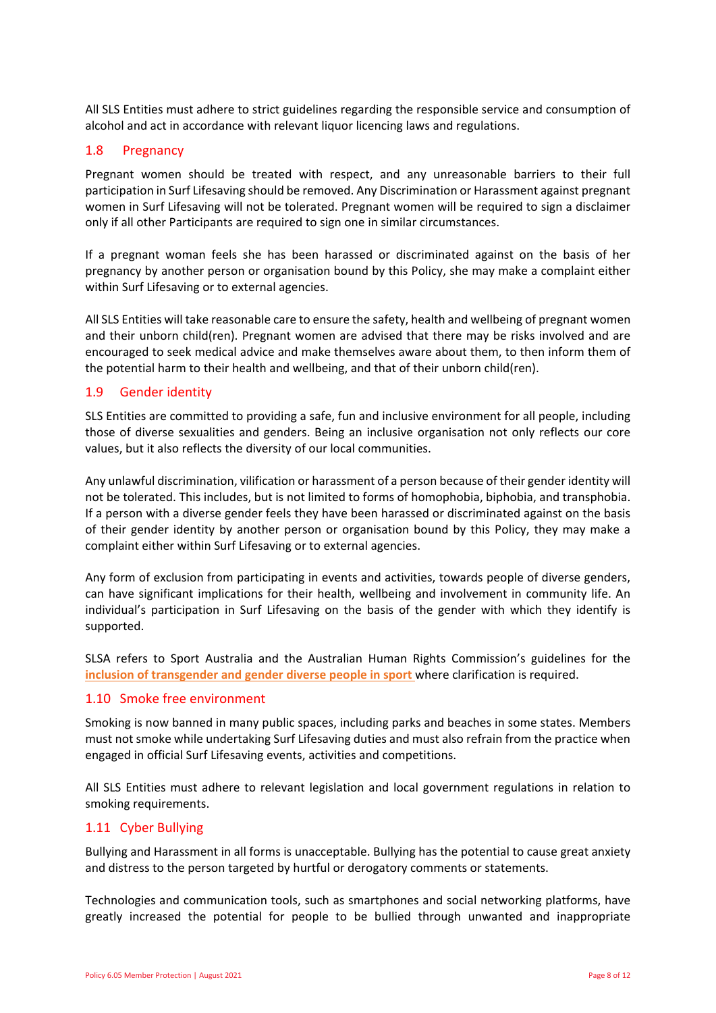All SLS Entities must adhere to strict guidelines regarding the responsible service and consumption of alcohol and act in accordance with relevant liquor licencing laws and regulations.

#### <span id="page-7-0"></span>1.8 Pregnancy

Pregnant women should be treated with respect, and any unreasonable barriers to their full participation in Surf Lifesaving should be removed. Any Discrimination or Harassment against pregnant women in Surf Lifesaving will not be tolerated. Pregnant women will be required to sign a disclaimer only if all other Participants are required to sign one in similar circumstances.

If a pregnant woman feels she has been harassed or discriminated against on the basis of her pregnancy by another person or organisation bound by this Policy, she may make a complaint either within Surf Lifesaving or to external agencies.

All SLS Entities will take reasonable care to ensure the safety, health and wellbeing of pregnant women and their unborn child(ren). Pregnant women are advised that there may be risks involved and are encouraged to seek medical advice and make themselves aware about them, to then inform them of the potential harm to their health and wellbeing, and that of their unborn child(ren).

## <span id="page-7-1"></span>1.9 Gender identity

SLS Entities are committed to providing a safe, fun and inclusive environment for all people, including those of diverse sexualities and genders. Being an inclusive organisation not only reflects our core values, but it also reflects the diversity of our local communities.

Any unlawful discrimination, vilification or harassment of a person because of their gender identity will not be tolerated. This includes, but is not limited to forms of homophobia, biphobia, and transphobia. If a person with a diverse gender feels they have been harassed or discriminated against on the basis of their gender identity by another person or organisation bound by this Policy, they may make a complaint either within Surf Lifesaving or to external agencies.

Any form of exclusion from participating in events and activities, towards people of diverse genders, can have significant implications for their health, wellbeing and involvement in community life. An individual's participation in Surf Lifesaving on the basis of the gender with which they identify is supported.

SLSA refers to Sport Australia and the Australian Human Rights Commission's guidelines for the **[inclusion of transgender and gender diverse people in sport](http://www.sportaus.gov.au/__data/assets/pdf_file/0008/706184/Trans_and_Gender_Diverse_Guidelines_2019.pdf)** where clarification is required.

#### <span id="page-7-2"></span>1.10 Smoke free environment

Smoking is now banned in many public spaces, including parks and beaches in some states. Members must not smoke while undertaking Surf Lifesaving duties and must also refrain from the practice when engaged in official Surf Lifesaving events, activities and competitions.

All SLS Entities must adhere to relevant legislation and local government regulations in relation to smoking requirements.

#### <span id="page-7-3"></span>1.11 Cyber Bullying

Bullying and Harassment in all forms is unacceptable. Bullying has the potential to cause great anxiety and distress to the person targeted by hurtful or derogatory comments or statements.

Technologies and communication tools, such as smartphones and social networking platforms, have greatly increased the potential for people to be bullied through unwanted and inappropriate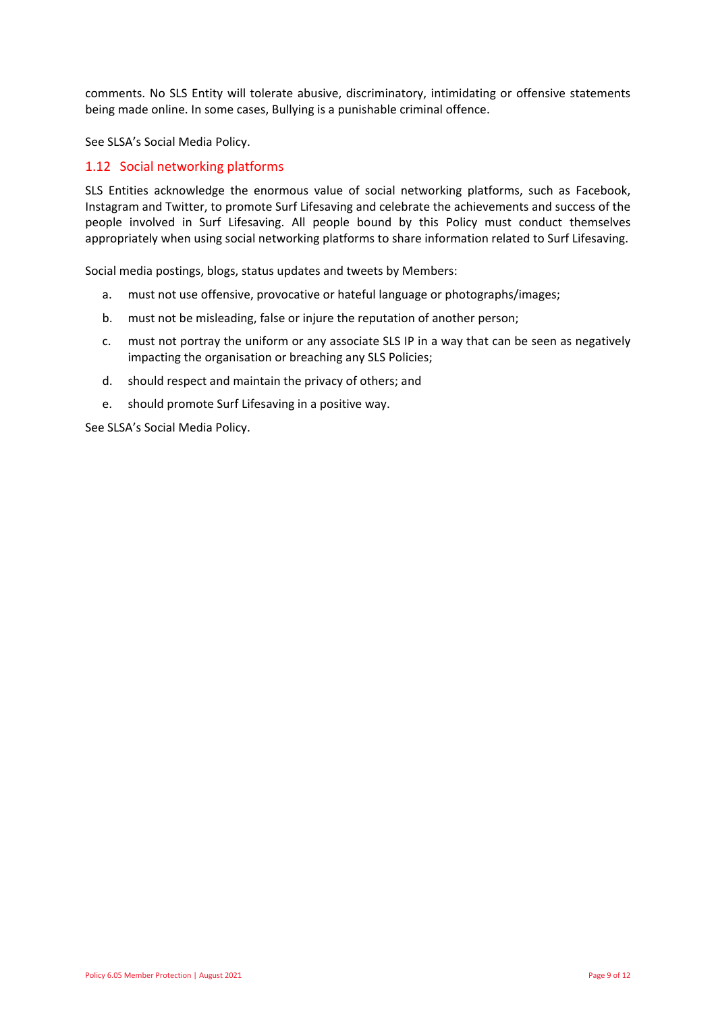comments. No SLS Entity will tolerate abusive, discriminatory, intimidating or offensive statements being made online. In some cases, Bullying is a punishable criminal offence.

See SLSA's Social Media Policy.

#### <span id="page-8-0"></span>1.12 Social networking platforms

SLS Entities acknowledge the enormous value of social networking platforms, such as Facebook, Instagram and Twitter, to promote Surf Lifesaving and celebrate the achievements and success of the people involved in Surf Lifesaving. All people bound by this Policy must conduct themselves appropriately when using social networking platforms to share information related to Surf Lifesaving.

Social media postings, blogs, status updates and tweets by Members:

- a. must not use offensive, provocative or hateful language or photographs/images;
- b. must not be misleading, false or injure the reputation of another person;
- c. must not portray the uniform or any associate SLS IP in a way that can be seen as negatively impacting the organisation or breaching any SLS Policies;
- d. should respect and maintain the privacy of others; and
- e. should promote Surf Lifesaving in a positive way.

See SLSA's Social Media Policy.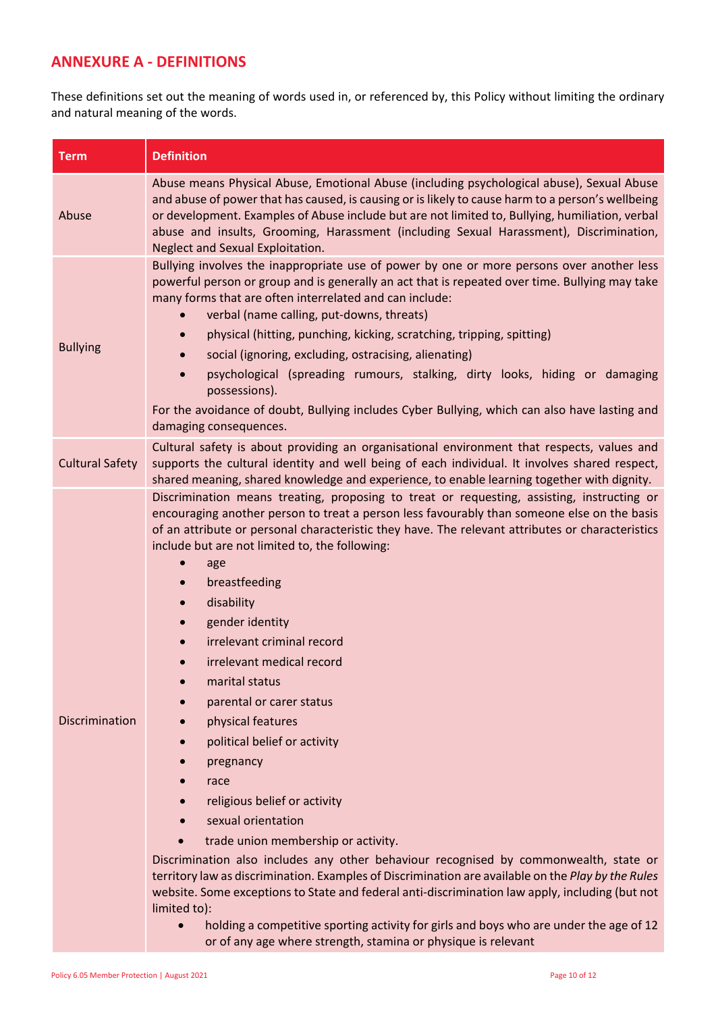## <span id="page-9-1"></span><span id="page-9-0"></span>**ANNEXURE A - DEFINITIONS**

These definitions set out the meaning of words used in, or referenced by, this Policy without limiting the ordinary and natural meaning of the words.

| <b>Term</b>            | <b>Definition</b>                                                                                                                                                                                                                                                                                                                                                                                                                                                                                                                                                                                                                                                                                                                                                                                                                                                                                                                                                                                                                                                                                                                                                                               |
|------------------------|-------------------------------------------------------------------------------------------------------------------------------------------------------------------------------------------------------------------------------------------------------------------------------------------------------------------------------------------------------------------------------------------------------------------------------------------------------------------------------------------------------------------------------------------------------------------------------------------------------------------------------------------------------------------------------------------------------------------------------------------------------------------------------------------------------------------------------------------------------------------------------------------------------------------------------------------------------------------------------------------------------------------------------------------------------------------------------------------------------------------------------------------------------------------------------------------------|
| Abuse                  | Abuse means Physical Abuse, Emotional Abuse (including psychological abuse), Sexual Abuse<br>and abuse of power that has caused, is causing or is likely to cause harm to a person's wellbeing<br>or development. Examples of Abuse include but are not limited to, Bullying, humiliation, verbal<br>abuse and insults, Grooming, Harassment (including Sexual Harassment), Discrimination,<br>Neglect and Sexual Exploitation.                                                                                                                                                                                                                                                                                                                                                                                                                                                                                                                                                                                                                                                                                                                                                                 |
| <b>Bullying</b>        | Bullying involves the inappropriate use of power by one or more persons over another less<br>powerful person or group and is generally an act that is repeated over time. Bullying may take<br>many forms that are often interrelated and can include:<br>verbal (name calling, put-downs, threats)<br>physical (hitting, punching, kicking, scratching, tripping, spitting)<br>$\bullet$<br>social (ignoring, excluding, ostracising, alienating)<br>$\bullet$<br>psychological (spreading rumours, stalking, dirty looks, hiding or damaging<br>$\bullet$<br>possessions).<br>For the avoidance of doubt, Bullying includes Cyber Bullying, which can also have lasting and<br>damaging consequences.                                                                                                                                                                                                                                                                                                                                                                                                                                                                                         |
| <b>Cultural Safety</b> | Cultural safety is about providing an organisational environment that respects, values and<br>supports the cultural identity and well being of each individual. It involves shared respect,<br>shared meaning, shared knowledge and experience, to enable learning together with dignity.                                                                                                                                                                                                                                                                                                                                                                                                                                                                                                                                                                                                                                                                                                                                                                                                                                                                                                       |
| Discrimination         | Discrimination means treating, proposing to treat or requesting, assisting, instructing or<br>encouraging another person to treat a person less favourably than someone else on the basis<br>of an attribute or personal characteristic they have. The relevant attributes or characteristics<br>include but are not limited to, the following:<br>age<br>breastfeeding<br>$\bullet$<br>disability<br>$\bullet$<br>gender identity<br>irrelevant criminal record<br>irrelevant medical record<br>marital status<br>parental or carer status<br>physical features<br>political belief or activity<br>pregnancy<br>race<br>religious belief or activity<br>sexual orientation<br>trade union membership or activity.<br>Discrimination also includes any other behaviour recognised by commonwealth, state or<br>territory law as discrimination. Examples of Discrimination are available on the Play by the Rules<br>website. Some exceptions to State and federal anti-discrimination law apply, including (but not<br>limited to):<br>holding a competitive sporting activity for girls and boys who are under the age of 12<br>or of any age where strength, stamina or physique is relevant |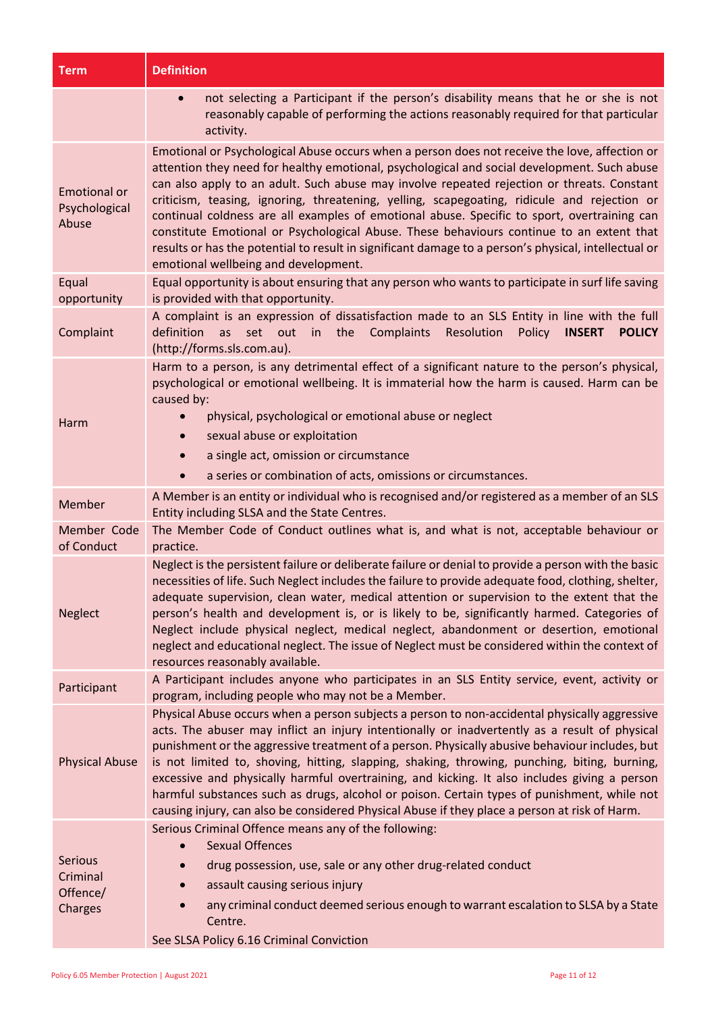| <b>Term</b>                                       | <b>Definition</b>                                                                                                                                                                                                                                                                                                                                                                                                                                                                                                                                                                                                                                                                                                                    |
|---------------------------------------------------|--------------------------------------------------------------------------------------------------------------------------------------------------------------------------------------------------------------------------------------------------------------------------------------------------------------------------------------------------------------------------------------------------------------------------------------------------------------------------------------------------------------------------------------------------------------------------------------------------------------------------------------------------------------------------------------------------------------------------------------|
|                                                   | not selecting a Participant if the person's disability means that he or she is not<br>$\bullet$<br>reasonably capable of performing the actions reasonably required for that particular<br>activity.                                                                                                                                                                                                                                                                                                                                                                                                                                                                                                                                 |
| <b>Emotional or</b><br>Psychological<br>Abuse     | Emotional or Psychological Abuse occurs when a person does not receive the love, affection or<br>attention they need for healthy emotional, psychological and social development. Such abuse<br>can also apply to an adult. Such abuse may involve repeated rejection or threats. Constant<br>criticism, teasing, ignoring, threatening, yelling, scapegoating, ridicule and rejection or<br>continual coldness are all examples of emotional abuse. Specific to sport, overtraining can<br>constitute Emotional or Psychological Abuse. These behaviours continue to an extent that<br>results or has the potential to result in significant damage to a person's physical, intellectual or<br>emotional wellbeing and development. |
| Equal<br>opportunity                              | Equal opportunity is about ensuring that any person who wants to participate in surf life saving<br>is provided with that opportunity.                                                                                                                                                                                                                                                                                                                                                                                                                                                                                                                                                                                               |
| Complaint                                         | A complaint is an expression of dissatisfaction made to an SLS Entity in line with the full<br>set out in<br>Complaints<br>definition<br>as<br>the<br>Resolution<br>Policy<br><b>INSERT</b><br><b>POLICY</b><br>(http://forms.sls.com.au).                                                                                                                                                                                                                                                                                                                                                                                                                                                                                           |
| Harm                                              | Harm to a person, is any detrimental effect of a significant nature to the person's physical,<br>psychological or emotional wellbeing. It is immaterial how the harm is caused. Harm can be<br>caused by:<br>physical, psychological or emotional abuse or neglect<br>sexual abuse or exploitation<br>$\bullet$<br>a single act, omission or circumstance<br>a series or combination of acts, omissions or circumstances.                                                                                                                                                                                                                                                                                                            |
| Member                                            | A Member is an entity or individual who is recognised and/or registered as a member of an SLS<br>Entity including SLSA and the State Centres.                                                                                                                                                                                                                                                                                                                                                                                                                                                                                                                                                                                        |
| Member Code<br>of Conduct                         | The Member Code of Conduct outlines what is, and what is not, acceptable behaviour or                                                                                                                                                                                                                                                                                                                                                                                                                                                                                                                                                                                                                                                |
| <b>Neglect</b>                                    | practice.<br>Neglect is the persistent failure or deliberate failure or denial to provide a person with the basic<br>necessities of life. Such Neglect includes the failure to provide adequate food, clothing, shelter,<br>adequate supervision, clean water, medical attention or supervision to the extent that the<br>person's health and development is, or is likely to be, significantly harmed. Categories of<br>Neglect include physical neglect, medical neglect, abandonment or desertion, emotional<br>neglect and educational neglect. The issue of Neglect must be considered within the context of<br>resources reasonably available.                                                                                 |
| Participant                                       | A Participant includes anyone who participates in an SLS Entity service, event, activity or<br>program, including people who may not be a Member.                                                                                                                                                                                                                                                                                                                                                                                                                                                                                                                                                                                    |
| <b>Physical Abuse</b>                             | Physical Abuse occurs when a person subjects a person to non-accidental physically aggressive<br>acts. The abuser may inflict an injury intentionally or inadvertently as a result of physical<br>punishment or the aggressive treatment of a person. Physically abusive behaviour includes, but<br>is not limited to, shoving, hitting, slapping, shaking, throwing, punching, biting, burning,<br>excessive and physically harmful overtraining, and kicking. It also includes giving a person<br>harmful substances such as drugs, alcohol or poison. Certain types of punishment, while not<br>causing injury, can also be considered Physical Abuse if they place a person at risk of Harm.                                     |
| <b>Serious</b><br>Criminal<br>Offence/<br>Charges | Serious Criminal Offence means any of the following:<br><b>Sexual Offences</b><br>drug possession, use, sale or any other drug-related conduct<br>assault causing serious injury<br>any criminal conduct deemed serious enough to warrant escalation to SLSA by a State<br>Centre.<br>See SLSA Policy 6.16 Criminal Conviction                                                                                                                                                                                                                                                                                                                                                                                                       |